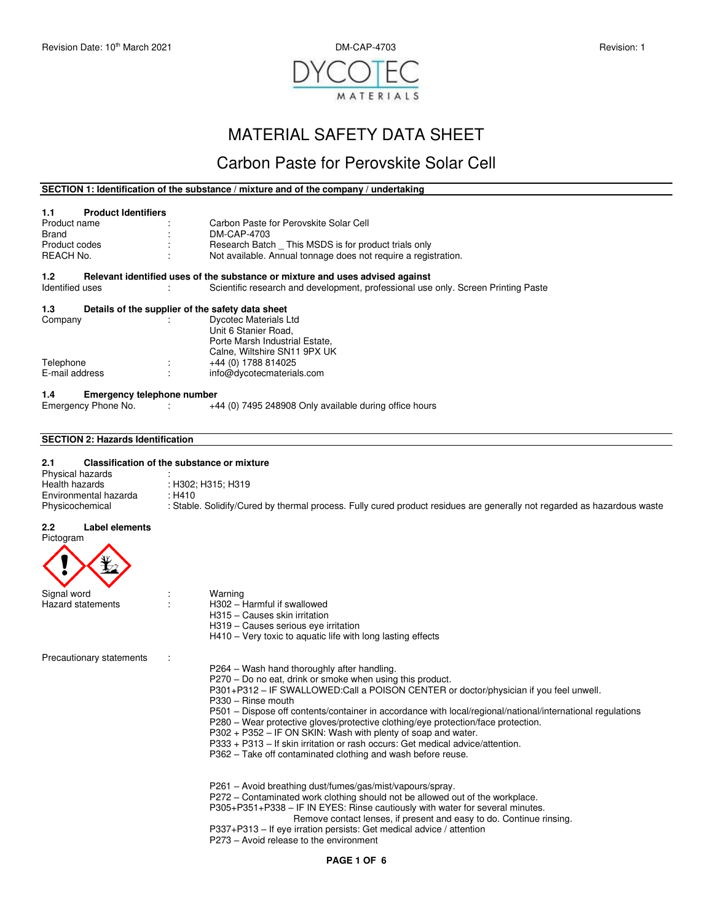

# MATERIAL SAFETY DATA SHEET

## Carbon Paste for Perovskite Solar Cell

### **SECTION 1: Identification of the substance / mixture and of the company / undertaking**

| 1.1             | <b>Product Identifiers</b> |    |                                                                                   |
|-----------------|----------------------------|----|-----------------------------------------------------------------------------------|
| Product name    |                            |    | Carbon Paste for Perovskite Solar Cell                                            |
| Brand           |                            |    | DM-CAP-4703                                                                       |
| Product codes   |                            | ÷. | Research Batch This MSDS is for product trials only                               |
| REACH No.       |                            |    | Not available. Annual tonnage does not require a registration.                    |
| 1.2             |                            |    | Relevant identified uses of the substance or mixture and uses advised against     |
| Identified uses |                            |    | Scientific research and development, professional use only. Screen Printing Paste |

## **1.3 Details of the supplier of the safety data sheet**

| Company        |        | <b>Dycotec Materials Ltd</b>   |  |
|----------------|--------|--------------------------------|--|
|                |        | Unit 6 Stanier Road,           |  |
|                |        | Porte Marsh Industrial Estate, |  |
|                |        | Calne, Wiltshire SN11 9PX UK   |  |
| Telephone      | ٠<br>۰ | +44 (0) 1788 814025            |  |
| E-mail address | ٠      | info@dycotecmaterials.com      |  |
|                |        |                                |  |

### **1.4 Emergency telephone number**

| Emergency Phone No. |  | +44 (0) 7495 248908 Only available during office hours |
|---------------------|--|--------------------------------------------------------|
|---------------------|--|--------------------------------------------------------|

### **SECTION 2: Hazards Identification**

#### $2.1$ **2.1 Classification of the substance or mixture**

| ---                   |                                                                                                                         |
|-----------------------|-------------------------------------------------------------------------------------------------------------------------|
| Physical hazards      |                                                                                                                         |
| Health hazards        | : H302: H315: H319                                                                                                      |
| Environmental hazarda | · H410                                                                                                                  |
| Physicochemical       | : Stable. Solidify/Cured by thermal process. Fully cured product residues are generally not regarded as hazardous waste |

#### **2.2 Label elements**



| Signal word              | warning                                                                                                    |
|--------------------------|------------------------------------------------------------------------------------------------------------|
| Hazard statements        | H302 - Harmful if swallowed                                                                                |
|                          | H315 - Causes skin irritation                                                                              |
|                          | H319 – Causes serious eye irritation                                                                       |
|                          | H410 – Very toxic to aquatic life with long lasting effects                                                |
| Precautionary statements |                                                                                                            |
|                          | P264 – Wash hand thoroughly after handling.                                                                |
|                          | P270 – Do no eat, drink or smoke when using this product.                                                  |
|                          | P301+P312 – IF SWALLOWED:Call a POISON CENTER or doctor/physician if you feel unwell.                      |
|                          | $P330 - Rinse$ mouth                                                                                       |
|                          | P501 – Dispose off contents/container in accordance with local/regional/national/international regulations |
|                          | P280 – Wear protective gloves/protective clothing/eye protection/face protection.                          |
|                          | $P302 + P352 - IF ON SKIN$ : Wash with plenty of soap and water.                                           |
|                          | P333 + P313 – If skin irritation or rash occurs: Get medical advice/attention.                             |
|                          | P362 – Take off contaminated clothing and wash before reuse.                                               |
|                          |                                                                                                            |
|                          |                                                                                                            |

P261 – Avoid breathing dust/fumes/gas/mist/vapours/spray.

- P272 Contaminated work clothing should not be allowed out of the workplace.
- P305+P351+P338 IF IN EYES: Rinse cautiously with water for several minutes.
	- Remove contact lenses, if present and easy to do. Continue rinsing.
- P337+P313 If eye irration persists: Get medical advice / attention
- P273 Avoid release to the environment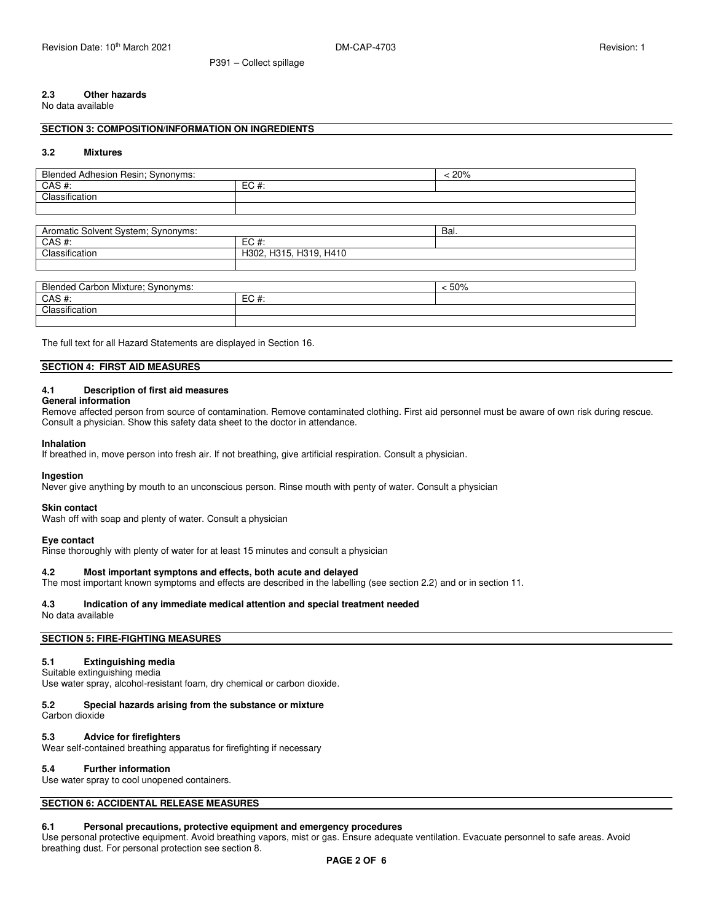# **2.3 Other hazards**

No data available

### **SECTION 3: COMPOSITION/INFORMATION ON INGREDIENTS**

#### **3.2 Mixtures**

| <b>Blended Adhesion Resin; Synonyms:</b> |         | $< 20\%$ |
|------------------------------------------|---------|----------|
| CAS #:                                   | $EC#$ : |          |
| Classification                           |         |          |
|                                          |         |          |
|                                          |         |          |
| Aromatic Solvent System; Synonyms:       |         | Bal.     |
| CAS #:                                   | $EC#$ : |          |
| Classification<br>H302, H315, H319, H410 |         |          |

| <b>Blended Carbon Mixture: Synonyms:</b> |         | : 50% |
|------------------------------------------|---------|-------|
| CAS#:                                    | $EC#$ : |       |
| Classification                           |         |       |
|                                          |         |       |

The full text for all Hazard Statements are displayed in Section 16.

### **SECTION 4: FIRST AID MEASURES**

### **4.1 Description of first aid measures**

### **General information**

Remove affected person from source of contamination. Remove contaminated clothing. First aid personnel must be aware of own risk during rescue. Consult a physician. Show this safety data sheet to the doctor in attendance.

#### **Inhalation**

If breathed in, move person into fresh air. If not breathing, give artificial respiration. Consult a physician.

P391 – Collect spillage

#### **Ingestion**

Never give anything by mouth to an unconscious person. Rinse mouth with penty of water. Consult a physician

#### **Skin contact**

Wash off with soap and plenty of water. Consult a physician

### **Eye contact**

Rinse thoroughly with plenty of water for at least 15 minutes and consult a physician

### **4.2 Most important symptons and effects, both acute and delayed**

The most important known symptoms and effects are described in the labelling (see section 2.2) and or in section 11.

### **4.3 Indication of any immediate medical attention and special treatment needed**

No data available

### **SECTION 5: FIRE-FIGHTING MEASURES**

### **5.1 Extinguishing media**

Suitable extinguishing media Use water spray, alcohol-resistant foam, dry chemical or carbon dioxide.

### **5.2 Special hazards arising from the substance or mixture**

Carbon dioxide

### **5.3 Advice for firefighters**

Wear self-contained breathing apparatus for firefighting if necessary

### **5.4 Further information**

Use water spray to cool unopened containers.

### **SECTION 6: ACCIDENTAL RELEASE MEASURES**

### **6.1 Personal precautions, protective equipment and emergency procedures**

Use personal protective equipment. Avoid breathing vapors, mist or gas. Ensure adequate ventilation. Evacuate personnel to safe areas. Avoid breathing dust. For personal protection see section 8.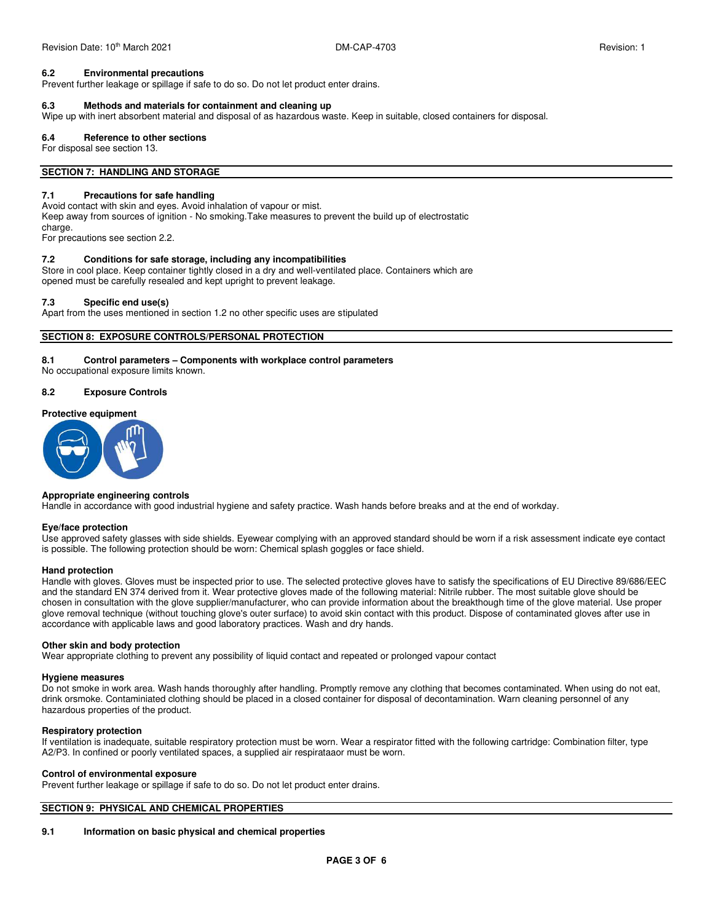### **6.2 Environmental precautions**

Prevent further leakage or spillage if safe to do so. Do not let product enter drains.

#### **6.3 Methods and materials for containment and cleaning up**

Wipe up with inert absorbent material and disposal of as hazardous waste. Keep in suitable, closed containers for disposal.

#### **6.4 Reference to other sections**

For disposal see section 13.

### **SECTION 7: HANDLING AND STORAGE**

#### **7.1 Precautions for safe handling**

Avoid contact with skin and eyes. Avoid inhalation of vapour or mist. Keep away from sources of ignition - No smoking.Take measures to prevent the build up of electrostatic charge.

For precautions see section 2.2.

### **7.2 Conditions for safe storage, including any incompatibilities**

Store in cool place. Keep container tightly closed in a dry and well-ventilated place. Containers which are opened must be carefully resealed and kept upright to prevent leakage.

### **7.3 Specific end use(s)**

Apart from the uses mentioned in section 1.2 no other specific uses are stipulated

### **SECTION 8: EXPOSURE CONTROLS/PERSONAL PROTECTION**

### **8.1 Control parameters – Components with workplace control parameters**

No occupational exposure limits known.

### **8.2 Exposure Controls**

### **Protective equipment**



#### **Appropriate engineering controls**

Handle in accordance with good industrial hygiene and safety practice. Wash hands before breaks and at the end of workday.

#### **Eye/face protection**

Use approved safety glasses with side shields. Eyewear complying with an approved standard should be worn if a risk assessment indicate eye contact is possible. The following protection should be worn: Chemical splash goggles or face shield.

### **Hand protection**

Handle with gloves. Gloves must be inspected prior to use. The selected protective gloves have to satisfy the specifications of EU Directive 89/686/EEC and the standard EN 374 derived from it. Wear protective gloves made of the following material: Nitrile rubber. The most suitable glove should be chosen in consultation with the glove supplier/manufacturer, who can provide information about the breakthough time of the glove material. Use proper glove removal technique (without touching glove's outer surface) to avoid skin contact with this product. Dispose of contaminated gloves after use in accordance with applicable laws and good laboratory practices. Wash and dry hands.

### **Other skin and body protection**

Wear appropriate clothing to prevent any possibility of liquid contact and repeated or prolonged vapour contact

### **Hygiene measures**

Do not smoke in work area. Wash hands thoroughly after handling. Promptly remove any clothing that becomes contaminated. When using do not eat, drink orsmoke. Contaminiated clothing should be placed in a closed container for disposal of decontamination. Warn cleaning personnel of any hazardous properties of the product.

### **Respiratory protection**

If ventilation is inadequate, suitable respiratory protection must be worn. Wear a respirator fitted with the following cartridge: Combination filter, type A2/P3. In confined or poorly ventilated spaces, a supplied air respirataaor must be worn.

#### **Control of environmental exposure**

Prevent further leakage or spillage if safe to do so. Do not let product enter drains.

### **SECTION 9: PHYSICAL AND CHEMICAL PROPERTIES**

### **9.1 Information on basic physical and chemical properties**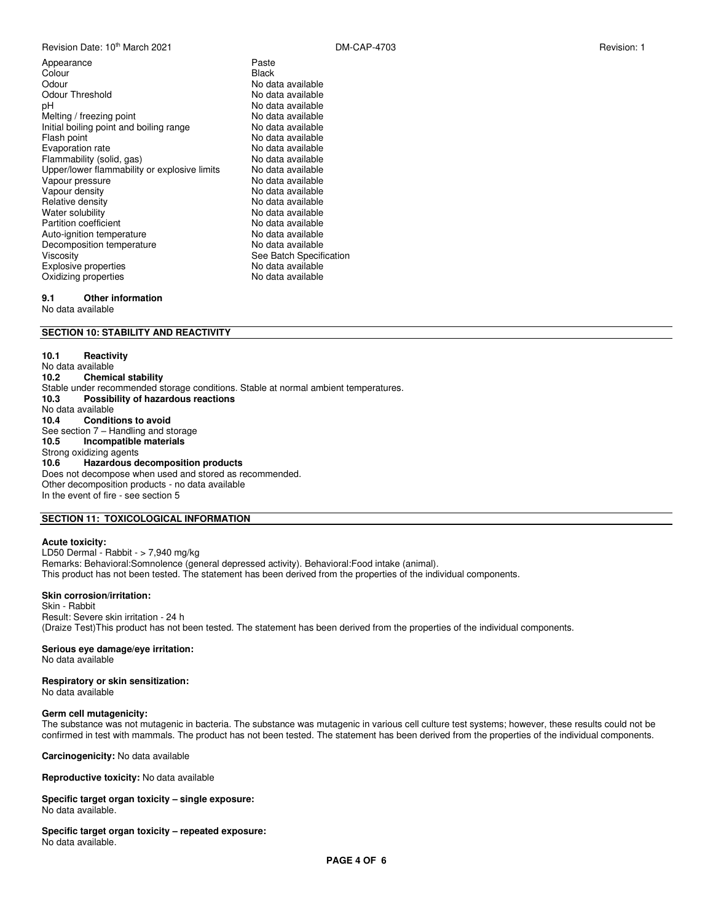Revision Date: 10<sup>th</sup> March 2021 **DISPON CAP-4703** DM-CAP-4703 **Revision: 1** Revision: 1

Appearance **Paste**<br>Colour **Paste Colour** Paste Colour<br>Odour Odour<br>
Odour Threshold<br>
Odour Threshold

University Modata available Odour Threshold No data available<br>pH No data available Melting / freezing point Melting in the No data available<br>
Initial boiling point and boiling range<br>
No data available Initial boiling point and boiling range Flash point  $\overrightarrow{h}$  and  $\overrightarrow{h}$  No data available<br>Evaporation rate  $\overrightarrow{h}$  No data available Evaporation rate<br>
Flammability (solid. gas)<br>
No data available Flammability (solid, gas)<br>
Upper/lower flammability or explosive limits No data available Upper/lower flammability or explosive limits Vapour pressure extension of the No data available<br>Vapour density extension of No data available Relative density<br>Water solubility Partition coefficient **No data available**<br>
Auto-ignition temperature<br>
No data available Auto-ignition temperature **No data available**<br>
Decomposition temperature **No data available** Decomposition temperature<br>Viscosity Explosive properties explosive properties and the No data available<br>
Oxidizing properties explosive the No data available Oxidizing properties

No data available<br>No data available No data available<br>No data available No data available See Batch Specification

### **9.1 Other information**

No data available

### **SECTION 10: STABILITY AND REACTIVITY**

**10.1 Reactivity**  No data available<br>10.2 Chemio **Chemical stability** Stable under recommended storage conditions. Stable at normal ambient temperatures. **10.3 Possibility of hazardous reactions**  No data available<br>10.4 Conditi **Conditions to avoid** See section 7 – Handling and storage **10.5 Incompatible materials**  Strong oxidizing agents<br>10.6 Hazardous d **10.6 Hazardous decomposition products**  Does not decompose when used and stored as recommended. Other decomposition products - no data available In the event of fire - see section 5

### **SECTION 11: TOXICOLOGICAL INFORMATION**

### **Acute toxicity:**

LD50 Dermal - Rabbit - > 7,940 mg/kg Remarks: Behavioral:Somnolence (general depressed activity). Behavioral:Food intake (animal). This product has not been tested. The statement has been derived from the properties of the individual components.

#### **Skin corrosion/irritation:**

Skin - Rabbit Result: Severe skin irritation - 24 h (Draize Test)This product has not been tested. The statement has been derived from the properties of the individual components.

#### **Serious eye damage/eye irritation:**

No data available

## **Respiratory or skin sensitization:**

No data available

### **Germ cell mutagenicity:**

The substance was not mutagenic in bacteria. The substance was mutagenic in various cell culture test systems; however, these results could not be confirmed in test with mammals. The product has not been tested. The statement has been derived from the properties of the individual components.

**Carcinogenicity:** No data available

**Reproductive toxicity:** No data available

#### **Specific target organ toxicity – single exposure:**  No data available.

**Specific target organ toxicity – repeated exposure:**  No data available.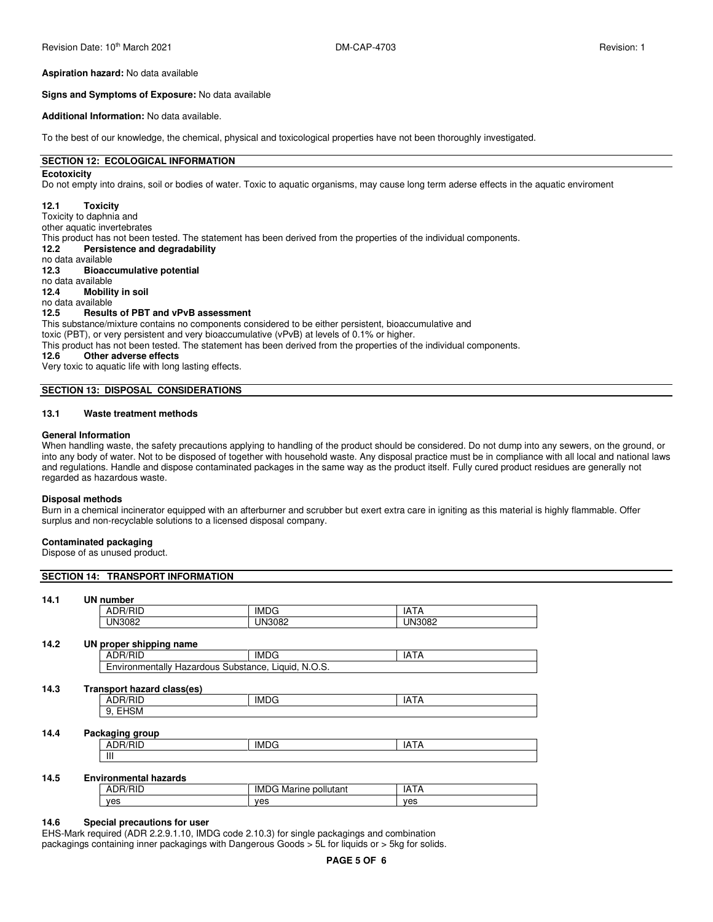#### **Aspiration hazard:** No data available

#### **Signs and Symptoms of Exposure:** No data available

#### **Additional Information:** No data available.

To the best of our knowledge, the chemical, physical and toxicological properties have not been thoroughly investigated.

### **SECTION 12: ECOLOGICAL INFORMATION**

### **Ecotoxicity**

Do not empty into drains, soil or bodies of water. Toxic to aquatic organisms, may cause long term aderse effects in the aquatic enviroment

### **12.1 Toxicity**

Toxicity to daphnia and

other aquatic invertebrates

This product has not been tested. The statement has been derived from the properties of the individual components.

**12.2 Persistence and degradability** 

no data available<br>12.3 **Bioacc** 

### **12.3 Bioaccumulative potential**

no data available

**12.4 Mobility in soil** 

#### no data available<br>12.5 **Result**s **12.5 Results of PBT and vPvB assessment**

This substance/mixture contains no components considered to be either persistent, bioaccumulative and toxic (PBT), or very persistent and very bioaccumulative (vPvB) at levels of 0.1% or higher. This product has not been tested. The statement has been derived from the properties of the individual components.

### **12.6 Other adverse effects**

Very toxic to aquatic life with long lasting effects.

### **SECTION 13: DISPOSAL CONSIDERATIONS**

### **13.1 Waste treatment methods**

#### **General Information**

When handling waste, the safety precautions applying to handling of the product should be considered. Do not dump into any sewers, on the ground, or into any body of water. Not to be disposed of together with household waste. Any disposal practice must be in compliance with all local and national laws and regulations. Handle and dispose contaminated packages in the same way as the product itself. Fully cured product residues are generally not regarded as hazardous waste.

#### **Disposal methods**

Burn in a chemical incinerator equipped with an afterburner and scrubber but exert extra care in igniting as this material is highly flammable. Offer surplus and non-recyclable solutions to a licensed disposal company.

#### **Contaminated packaging**

Dispose of as unused product.

### **SECTION 14: TRANSPORT INFORMATION**

#### **14.1 UN number**

| $\overline{\phantom{a}}$<br>' IN.<br>INĽ<br><br>∟סייר | ┒ | IML | IΡ<br>1 I A |
|-------------------------------------------------------|---|-----|-------------|
|                                                       |   |     |             |

### **14.2 UN proper shipping name**

| .<br>໋                                                                                  | " |
|-----------------------------------------------------------------------------------------|---|
| ۔ ۔ ۔ ۔ ۔ ۔ ۔ ۔<br>.<br>פו ור<br>.<br>าtallv<br>7Яш<br>-12<br>ו ור<br>nr<br>ה הי<br>ier |   |

### **14.3 Transport hazard class(es)**

| 4.3 | Transport hazard class(es) |             |          |  |
|-----|----------------------------|-------------|----------|--|
|     | ۱н.<br>HIL<br>◡            | <b>IMDG</b> | IA.<br>H |  |
|     | $\sim$<br>EHSM<br>ັ<br>. . |             |          |  |
|     |                            |             |          |  |

### **14.4 Packaging group**

|           | IMI |  |
|-----------|-----|--|
| ш<br>-111 |     |  |

### **14.5 Environmental hazards**

| ------------------------ |                                    |           |  |  |
|--------------------------|------------------------------------|-----------|--|--|
| ∼<br>טר.<br>v<br>սա      | <b>IMDG</b><br>pollutant<br>Marine | ١A<br>הור |  |  |
| ves                      | ves                                | ves       |  |  |

#### **14.6 Special precautions for user**

EHS-Mark required (ADR 2.2.9.1.10, IMDG code 2.10.3) for single packagings and combination packagings containing inner packagings with Dangerous Goods > 5L for liquids or > 5kg for solids.